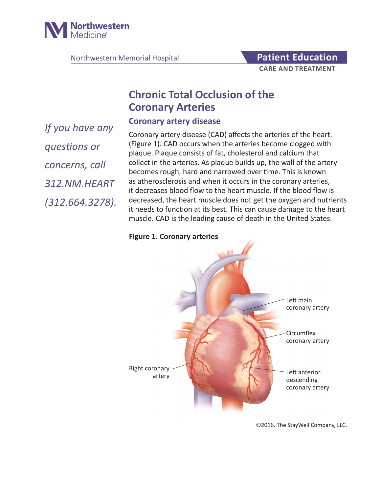

Northwestern Memorial Hospital **Patient Education** 

# **CARE AND TREATMENT**

# **Chronic Total Occlusion of the Coronary Arteries**

**Coronary artery disease**

*If you have any questions or concerns, call 312.NM.HEART (312.664.3278).* 

Coronary artery disease (CAD) affects the arteries of the heart. (Figure 1). CAD occurs when the arteries become clogged with plaque. Plaque consists of fat, cholesterol and calcium that collect in the arteries. As plaque builds up, the wall of the artery becomes rough, hard and narrowed over time. This is known as atherosclerosis and when it occurs in the coronary arteries, it decreases blood flow to the heart muscle. If the blood flow is decreased, the heart muscle does not get the oxygen and nutrients it needs to function at its best. This can cause damage to the heart muscle. CAD is the leading cause of death in the United States.

#### **Figure 1. Coronary arteries**



©2016. The StayWell Company, LLC.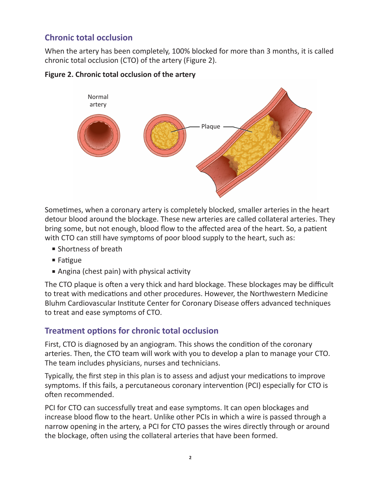## **Chronic total occlusion**

When the artery has been completely, 100% blocked for more than 3 months, it is called chronic total occlusion (CTO) of the artery (Figure 2).



#### **Figure 2. Chronic total occlusion of the artery**

Sometimes, when a coronary artery is completely blocked, smaller arteries in the heart detour blood around the blockage. These new arteries are called collateral arteries. They bring some, but not enough, blood flow to the affected area of the heart. So, a patient with CTO can still have symptoms of poor blood supply to the heart, such as:

- Shortness of breath
- Fatigue
- Angina (chest pain) with physical activity

The CTO plaque is often a very thick and hard blockage. These blockages may be difficult to treat with medications and other procedures. However, the Northwestern Medicine Bluhm Cardiovascular Institute Center for Coronary Disease offers advanced techniques to treat and ease symptoms of CTO.

#### **Treatment options for chronic total occlusion**

First, CTO is diagnosed by an angiogram. This shows the condition of the coronary arteries. Then, the CTO team will work with you to develop a plan to manage your CTO. The team includes physicians, nurses and technicians.

Typically, the first step in this plan is to assess and adjust your medications to improve symptoms. If this fails, a percutaneous coronary intervention (PCI) especially for CTO is often recommended.

PCI for CTO can successfully treat and ease symptoms. It can open blockages and increase blood flow to the heart. Unlike other PCIs in which a wire is passed through a narrow opening in the artery, a PCI for CTO passes the wires directly through or around the blockage, often using the collateral arteries that have been formed.